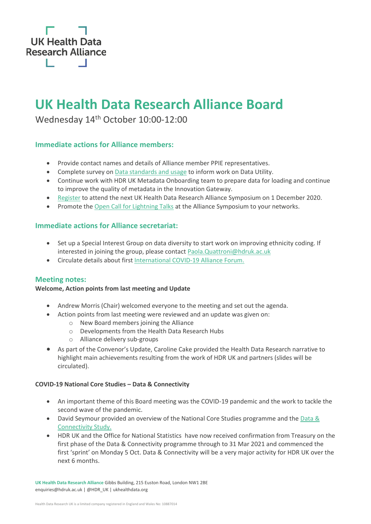

# **UK Health Data Research Alliance Board**

Wednesday 14th October 10:00-12:00

# **Immediate actions for Alliance members:**

- Provide contact names and details of Alliance member PPIE representatives.
- Complete survey o[n Data standards and usage](https://www.surveymonkey.co.uk/r/RV8ZWYR) to inform work on Data Utility.
- Continue work with HDR UK Metadata Onboarding team to prepare data for loading and continue to improve the quality of metadata in the Innovation Gateway.
- [Register](https://www.hdruk.ac.uk/uk-health-data-research-alliance-symposium-december-2020/) to attend the next UK Health Data Research Alliance Symposium on 1 December 2020.
- Promote th[e Open Call for Lightning Talks](https://www.hdruk.ac.uk/news/applications-now-open-for-lightning-talks-at-alliance-symposium-2020/) at the Alliance Symposium to your networks.

# **Immediate actions for Alliance secretariat:**

- Set up a Special Interest Group on data diversity to start work on improving ethnicity coding. If interested in joining the group, please contact [Paola.Quattroni@hdruk.ac.uk](mailto:Paola.Quattroni@hdruk.ac.uk)
- Circulate details about first [International COVID-19 Alliance Forum.](https://www.eventbrite.com/e/inaugural-icoda-forum-tickets-126062591605)

## **Meeting notes:**

## **Welcome, Action points from last meeting and Update**

- Andrew Morris (Chair) welcomed everyone to the meeting and set out the agenda.
- Action points from last meeting were reviewed and an update was given on:
	- o New Board members joining the Alliance
	- o Developments from the Health Data Research Hubs
	- o Alliance delivery sub-groups
- As part of the Convenor's Update, Caroline Cake provided the Health Data Research narrative to highlight main achievements resulting from the work of HDR UK and partners (slides will be circulated).

#### **COVID-19 National Core Studies – Data & Connectivity**

- An important theme of this Board meeting was the COVID-19 pandemic and the work to tackle the second wave of the pandemic.
- David Seymour provided an overview of the National Core Studies programme and the Data & [Connectivity Study.](https://www.hdruk.ac.uk/covid-19/covid-19-national-core-studies/)
- HDR UK and the Office for National Statistics have now received confirmation from Treasury on the first phase of the Data & Connectivity programme through to 31 Mar 2021 and commenced the first 'sprint' on Monday 5 Oct. Data & Connectivity will be a very major activity for HDR UK over the next 6 months.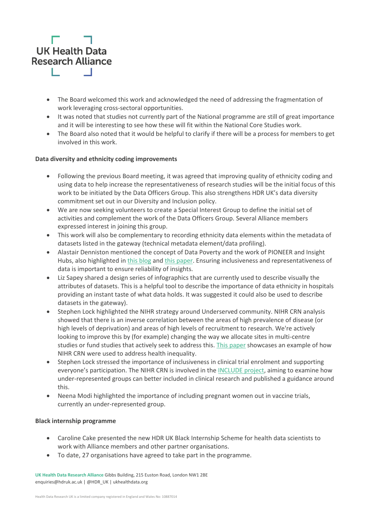

- The Board welcomed this work and acknowledged the need of addressing the fragmentation of work leveraging cross-sectoral opportunities.
- It was noted that studies not currently part of the National programme are still of great importance and it will be interesting to see how these will fit within the National Core Studies work.
- The Board also noted that it would be helpful to clarify if there will be a process for members to get involved in this work.

#### **Data diversity and ethnicity coding improvements**

- Following the previous Board meeting, it was agreed that improving quality of ethnicity coding and using data to help increase the representativeness of research studies will be the initial focus of this work to be initiated by the Data Officers Group. This also strengthens HDR UK's data diversity commitment set out in our Diversity and Inclusion policy.
- We are now seeking volunteers to create a Special Interest Group to define the initial set of activities and complement the work of the Data Officers Group. Several Alliance members expressed interest in joining this group.
- This work will also be complementary to recording ethnicity data elements within the metadata of datasets listed in the gateway (technical metadata element/data profiling).
- Alastair Denniston mentioned the concept of Data Poverty and the work of PIONEER and Insight Hubs, also highlighted i[n this blog](https://www.hdruk.ac.uk/news/leaving-none-behind-in-the-digital-health-era/) an[d this paper.](https://www.sciencedirect.com/science/article/pii/S2589750020302405) Ensuring inclusiveness and representativeness of data is important to ensure reliability of insights.
- Liz Sapey shared a design series of infographics that are currently used to describe visually the attributes of datasets. This is a helpful tool to describe the importance of data ethnicity in hospitals providing an instant taste of what data holds. It was suggested it could also be used to describe datasets in the gateway).
- Stephen Lock highlighted the NIHR strategy around Underserved community. NIHR CRN analysis showed that there is an inverse correlation between the areas of high prevalence of disease (or high levels of deprivation) and areas of high levels of recruitment to research. We're actively looking to improve this by (for example) changing the way we allocate sites in multi-centre studies or fund studies that actively seek to address this. [This paper](https://www.nihr.ac.uk/documents/improving-inclusion-of-under-served-groups-in-clinical-research-guidance-from-include-project/25435) showcases an example of how NIHR CRN were used to address health inequality.
- Stephen Lock stressed the importance of inclusiveness in clinical trial enrolment and supporting everyone's participation. The NIHR CRN is involved in the [INCLUDE project,](https://www.nihr.ac.uk/documents/improving-inclusion-of-under-served-groups-in-clinical-research-guidance-from-include-project/25435) aiming to examine how under-represented groups can better included in clinical research and published a guidance around this.
- Neena Modi highlighted the importance of including pregnant women out in vaccine trials, currently an under-represented group.

#### **Black internship programme**

- Caroline Cake presented the new HDR UK Black Internship Scheme for health data scientists to work with Alliance members and other partner organisations.
- To date, 27 organisations have agreed to take part in the programme.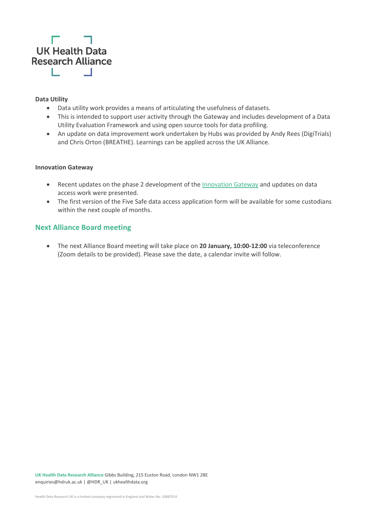

#### **Data Utility**

- Data utility work provides a means of articulating the usefulness of datasets.
- This is intended to support user activity through the Gateway and includes development of a Data Utility Evaluation Framework and using open source tools for data profiling.
- An update on data improvement work undertaken by Hubs was provided by Andy Rees (DigiTrials) and Chris Orton (BREATHE). Learnings can be applied across the UK Alliance.

#### **Innovation Gateway**

- Recent updates on the phase 2 development of the [Innovation Gateway](https://www.healthdatagateway.org/) and updates on data access work were presented.
- The first version of the Five Safe data access application form will be available for some custodians within the next couple of months.

# **Next Alliance Board meeting**

• The next Alliance Board meeting will take place on **20 January, 10:00-12:00** via teleconference (Zoom details to be provided). Please save the date, a calendar invite will follow.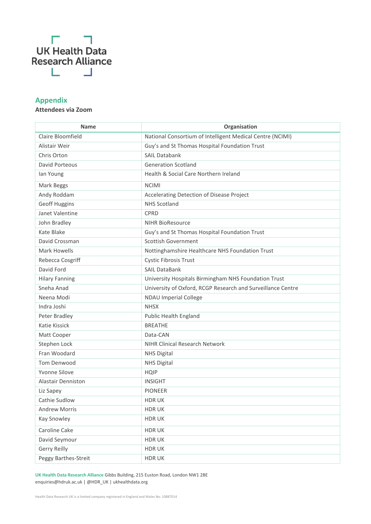

# **Appendix**

# **Attendees via Zoom**

| <b>Name</b>           | Organisation                                                |
|-----------------------|-------------------------------------------------------------|
| Claire Bloomfield     | National Consortium of Intelligent Medical Centre (NCIMI)   |
| Alistair Weir         | Guy's and St Thomas Hospital Foundation Trust               |
| Chris Orton           | SAIL Databank                                               |
| David Porteous        | <b>Generation Scotland</b>                                  |
| lan Young             | Health & Social Care Northern Ireland                       |
| Mark Beggs            | <b>NCIMI</b>                                                |
| Andy Roddam           | Accelerating Detection of Disease Project                   |
| Geoff Huggins         | <b>NHS Scotland</b>                                         |
| Janet Valentine       | <b>CPRD</b>                                                 |
| John Bradley          | <b>NIHR BioResource</b>                                     |
| Kate Blake            | Guy's and St Thomas Hospital Foundation Trust               |
| David Crossman        | <b>Scottish Government</b>                                  |
| <b>Mark Howells</b>   | Nottinghamshire Healthcare NHS Foundation Trust             |
| Rebecca Cosgriff      | <b>Cystic Fibrosis Trust</b>                                |
| David Ford            | <b>SAIL DataBank</b>                                        |
| <b>Hilary Fanning</b> | University Hospitals Birmingham NHS Foundation Trust        |
| Sneha Anad            | University of Oxford, RCGP Research and Surveillance Centre |
| Neena Modi            | <b>NDAU Imperial College</b>                                |
| Indra Joshi           | <b>NHSX</b>                                                 |
| Peter Bradley         | Public Health England                                       |
| Katie Kissick         | <b>BREATHE</b>                                              |
| Matt Cooper           | Data-CAN                                                    |
| Stephen Lock          | NIHR Clinical Research Network                              |
| Fran Woodard          | <b>NHS Digital</b>                                          |
| Tom Denwood           | <b>NHS Digital</b>                                          |
| <b>Yvonne Silove</b>  | <b>HQIP</b>                                                 |
| Alastair Denniston    | <b>INSIGHT</b>                                              |
| Liz Sapey             | <b>PIONEER</b>                                              |
| Cathie Sudlow         | <b>HDRUK</b>                                                |
| <b>Andrew Morris</b>  | <b>HDRUK</b>                                                |
| Kay Snowley           | <b>HDRUK</b>                                                |
| Caroline Cake         | <b>HDRUK</b>                                                |
| David Seymour         | <b>HDRUK</b>                                                |
| Gerry Reilly          | <b>HDRUK</b>                                                |
| Peggy Barthes-Streit  | <b>HDRUK</b>                                                |